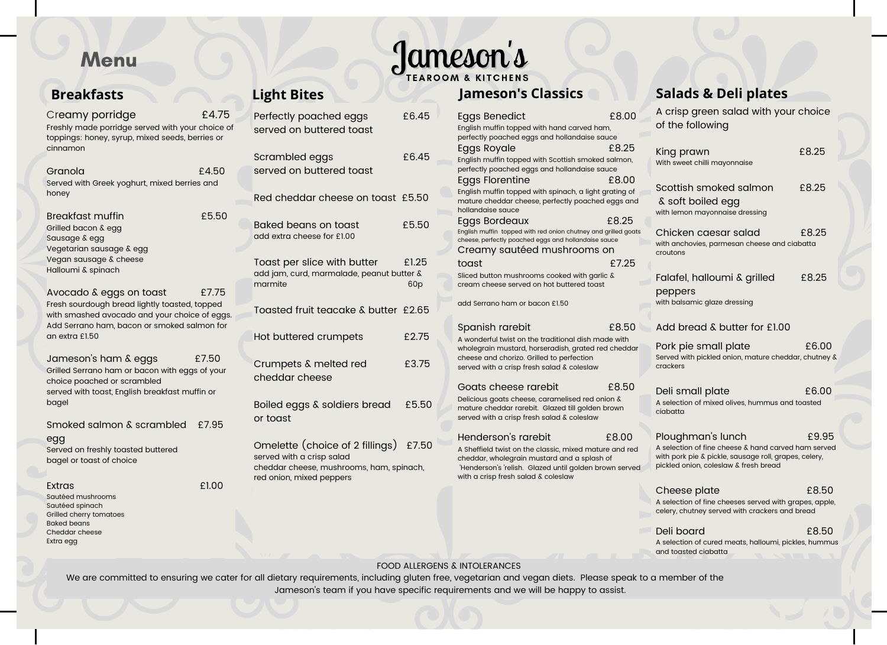# Menu

## **Breakfasts**

| Creamy porridge<br>Freshly made porridge served with your choice of<br>toppings: honey, syrup, mixed seeds, berries or<br>cinnamon                                                         | f4.75 |
|--------------------------------------------------------------------------------------------------------------------------------------------------------------------------------------------|-------|
| Granola<br>Served with Greek yoghurt, mixed berries and<br>honey                                                                                                                           | f4.50 |
| <b>Breakfast muffin</b><br>Grilled bacon & egg<br>Sausage & egg<br>Vegetarian sausage & egg<br>Vegan sausage & cheese<br>Halloumi & spinach                                                | £5.50 |
| Avocado & eggs on toast<br>Fresh sourdough bread lightly toasted, topped<br>with smashed avocado and your choice of eggs.<br>Add Serrano ham, bacon or smoked salmon for<br>an extra £1.50 | £7.75 |
| Jameson's ham & eggs<br>Grilled Serrano ham or bacon with eggs of your<br>choice poached or scrambled<br>served with toast, English breakfast muffin or<br>bagel                           | £7.50 |
| Smoked salmon & scrambled £7.95<br>egg<br>Served on freshly toasted buttered<br>bagel or toast of choice                                                                                   |       |

Extras £1.00

Sautéed mushrooms Sautéed spinach Grilled cherry tomatoes Baked beans Cheddar cheese Extra egg

| Perfectly poached eggs<br>served on buttered toast                                                                                         | £6.45                    |
|--------------------------------------------------------------------------------------------------------------------------------------------|--------------------------|
| Scrambled eggs<br>served on buttered toast                                                                                                 | £6.45                    |
| Red cheddar cheese on toast £5.50                                                                                                          |                          |
| Baked beans on toast<br>add extra cheese for £1.00                                                                                         | £5.50                    |
| Toast per slice with butter<br>add jam, curd, marmalade, peanut butter &<br>marmite                                                        | £1.25<br>60 <sub>p</sub> |
| Toasted fruit teacake & butter £2.65                                                                                                       |                          |
| Hot buttered crumpets                                                                                                                      | £275                     |
| Crumpets & melted red<br>cheddar cheese                                                                                                    | £3.75                    |
| Boiled eggs & soldiers bread<br>or togst                                                                                                   | £5.50                    |
| Omelette (choice of 2 fillings) £7.50<br>served with a crisp salad<br>cheddar cheese, mushrooms, ham, spinach.<br>red onion, mixed peppers |                          |

# Jameson's **Light Bites Jameson's Classics**

| <b>Eggs Benedict</b><br>English muffin topped with hand carved ham,<br>perfectly poached eggs and hollandaise sauce                                                                                                           | £8.00          | A crisp green salad with your choice<br>of the following                                                                                                                   |       |
|-------------------------------------------------------------------------------------------------------------------------------------------------------------------------------------------------------------------------------|----------------|----------------------------------------------------------------------------------------------------------------------------------------------------------------------------|-------|
| Eggs Royale<br>English muffin topped with Scottish smoked salmon,<br>perfectly poached eggs and hollandaise sauce                                                                                                             | £8.25          | King prawn<br>With sweet chilli mayonnaise                                                                                                                                 | £8.25 |
| <b>Eggs Florentine</b><br>English muffin topped with spinach, a light grating of<br>mature cheddar cheese, perfectly poached eggs and<br>hollandaise sauce<br>Eggs Bordeaux                                                   | £8.00<br>£8.25 | Scottish smoked salmon<br>& soft boiled egg<br>with lemon mayonnaise dressing                                                                                              | £8.25 |
| English muffin topped with red onion chutney and grilled goats<br>cheese, perfectly poached eggs and hollandaise sauce<br>Creamy sautéed mushrooms on<br>toast                                                                | £7.25          | Chicken caesar salad<br>with anchovies, parmesan cheese and ciabatta<br>croutons                                                                                           | £8.25 |
| Sliced button mushrooms cooked with garlic &<br>cream cheese served on hot buttered toast<br>add Serrano ham or bacon £150                                                                                                    |                | Falafel, halloumi & grilled<br>peppers<br>with balsamic glaze dressing                                                                                                     | £8.25 |
| Spanish rarebit                                                                                                                                                                                                               | £8.50          | Add bread & butter for £1.00                                                                                                                                               |       |
| A wonderful twist on the traditional dish made with<br>wholegrain mustard, horseradish, grated red cheddar<br>cheese and chorizo. Grilled to perfection<br>served with a crisp fresh salad & coleslaw                         |                | Pork pie small plate<br>Served with pickled onion, mature cheddar, chutney &<br>crackers                                                                                   | £6.00 |
| Goats cheese rarebit<br>Delicious goats cheese, caramelised red onion &<br>mature cheddar rarebit. Glazed till golden brown<br>served with a crisp fresh salad & coleslaw                                                     | £850           | Deli small plate<br>A selection of mixed olives, hummus and toasted<br>ciabatta                                                                                            | £6.00 |
| Henderson's rarebit<br>A Sheffield twist on the classic, mixed mature and red<br>cheddar, wholegrain mustard and a splash of<br>'Henderson's 'relish. Glazed until golden brown served<br>with a crisp fresh salad & coleslaw | £8.00          | Ploughman's lunch<br>A selection of fine cheese & hand carved ham served<br>with pork pie & pickle, sausage roll, grapes, celery,<br>pickled onion, coleslaw & fresh bread | £9.95 |
|                                                                                                                                                                                                                               |                | Cheese plate                                                                                                                                                               | £8.50 |
|                                                                                                                                                                                                                               |                | A selection of fine cheeses served with grapes, apple,<br>celery, chutney served with crackers and bread                                                                   |       |

Deli board £8.50 A selection of cured meats, halloumi, pickles, hummus and toasted ciabatta

**Salads & Deli plates**

#### FOOD ALLERGENS & INTOLERANCES

We are committed to ensuring we cater for all dietary requirements, including gluten free, vegetarian and vegan diets. Please speak to a member of the Jameson's team if you have specific requirements and we will be happy to assist.